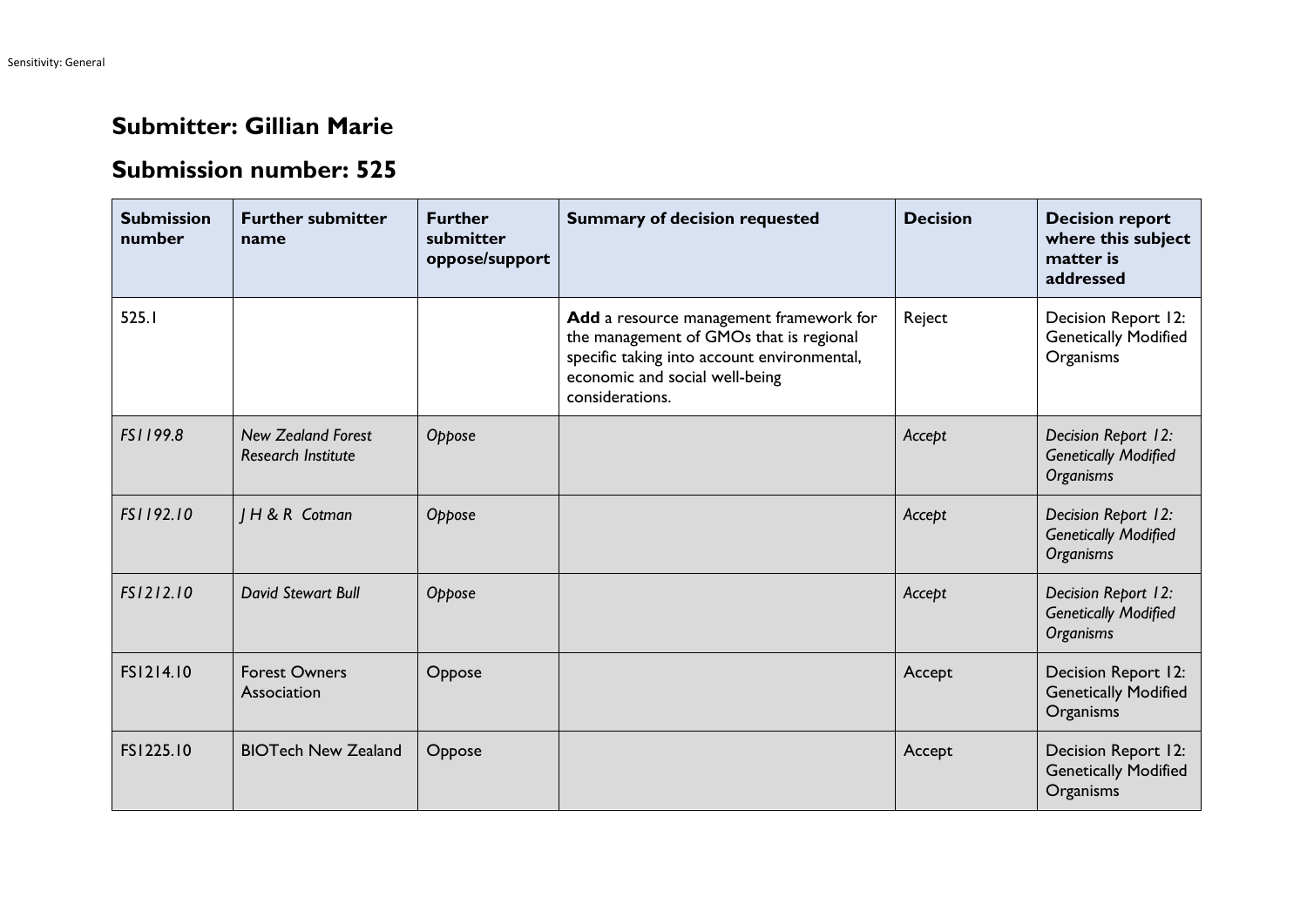## **Submitter: Gillian Marie**

## **Submission number: 525**

| <b>Submission</b><br>number | <b>Further submitter</b><br>name                       | <b>Further</b><br>submitter<br>oppose/support | <b>Summary of decision requested</b>                                                                                                                                                   | <b>Decision</b> | <b>Decision report</b><br>where this subject<br>matter is<br>addressed |
|-----------------------------|--------------------------------------------------------|-----------------------------------------------|----------------------------------------------------------------------------------------------------------------------------------------------------------------------------------------|-----------------|------------------------------------------------------------------------|
| 525.1                       |                                                        |                                               | Add a resource management framework for<br>the management of GMOs that is regional<br>specific taking into account environmental,<br>economic and social well-being<br>considerations. | Reject          | Decision Report 12:<br><b>Genetically Modified</b><br>Organisms        |
| FS1199.8                    | <b>New Zealand Forest</b><br><b>Research Institute</b> | Oppose                                        |                                                                                                                                                                                        | Accept          | Decision Report 12:<br><b>Genetically Modified</b><br><b>Organisms</b> |
| FS1192.10                   | <b>IH&amp;R</b> Cotman                                 | Oppose                                        |                                                                                                                                                                                        | Accept          | Decision Report 12:<br><b>Genetically Modified</b><br>Organisms        |
| FS1212.10                   | David Stewart Bull                                     | Oppose                                        |                                                                                                                                                                                        | Accept          | Decision Report 12:<br><b>Genetically Modified</b><br><b>Organisms</b> |
| FS1214.10                   | <b>Forest Owners</b><br>Association                    | Oppose                                        |                                                                                                                                                                                        | Accept          | Decision Report 12:<br><b>Genetically Modified</b><br>Organisms        |
| FS1225.10                   | <b>BIOTech New Zealand</b>                             | Oppose                                        |                                                                                                                                                                                        | Accept          | Decision Report 12:<br><b>Genetically Modified</b><br>Organisms        |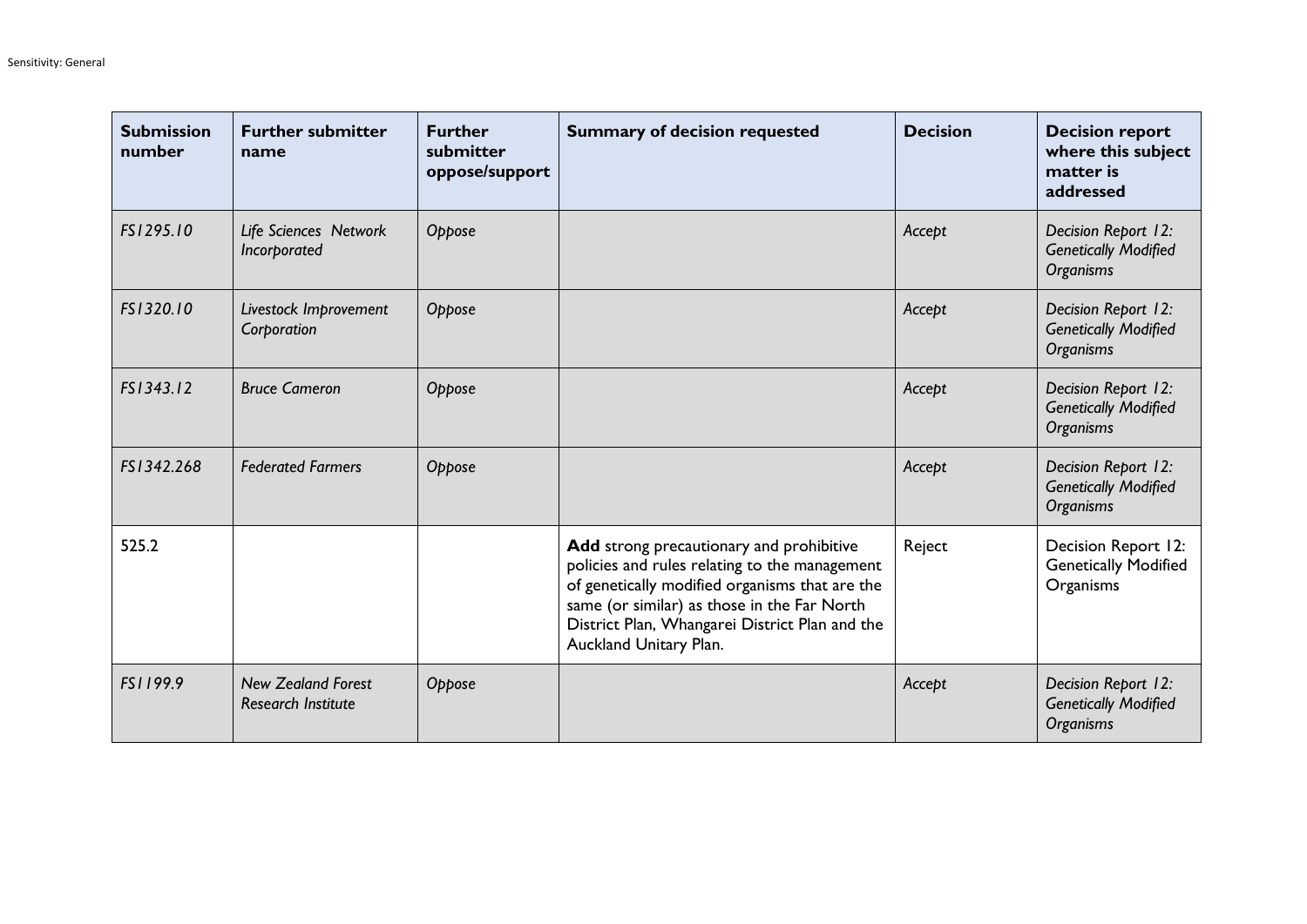| <b>Submission</b><br>number | <b>Further submitter</b><br>name                       | <b>Further</b><br>submitter<br>oppose/support | <b>Summary of decision requested</b>                                                                                                                                                                                                                                   | <b>Decision</b> | <b>Decision report</b><br>where this subject<br>matter is<br>addressed |
|-----------------------------|--------------------------------------------------------|-----------------------------------------------|------------------------------------------------------------------------------------------------------------------------------------------------------------------------------------------------------------------------------------------------------------------------|-----------------|------------------------------------------------------------------------|
| FS1295.10                   | Life Sciences Network<br>Incorporated                  | Oppose                                        |                                                                                                                                                                                                                                                                        | Accept          | Decision Report 12:<br><b>Genetically Modified</b><br><b>Organisms</b> |
| FS1320.10                   | Livestock Improvement<br>Corporation                   | Oppose                                        |                                                                                                                                                                                                                                                                        | Accept          | Decision Report 12:<br><b>Genetically Modified</b><br><b>Organisms</b> |
| FS1343.12                   | <b>Bruce Cameron</b>                                   | Oppose                                        |                                                                                                                                                                                                                                                                        | Accept          | Decision Report 12:<br><b>Genetically Modified</b><br>Organisms        |
| FS1342.268                  | <b>Federated Farmers</b>                               | Oppose                                        |                                                                                                                                                                                                                                                                        | Accept          | Decision Report 12:<br><b>Genetically Modified</b><br><b>Organisms</b> |
| 525.2                       |                                                        |                                               | Add strong precautionary and prohibitive<br>policies and rules relating to the management<br>of genetically modified organisms that are the<br>same (or similar) as those in the Far North<br>District Plan, Whangarei District Plan and the<br>Auckland Unitary Plan. | Reject          | Decision Report 12:<br><b>Genetically Modified</b><br>Organisms        |
| FS1199.9                    | <b>New Zealand Forest</b><br><b>Research Institute</b> | Oppose                                        |                                                                                                                                                                                                                                                                        | Accept          | Decision Report 12:<br><b>Genetically Modified</b><br>Organisms        |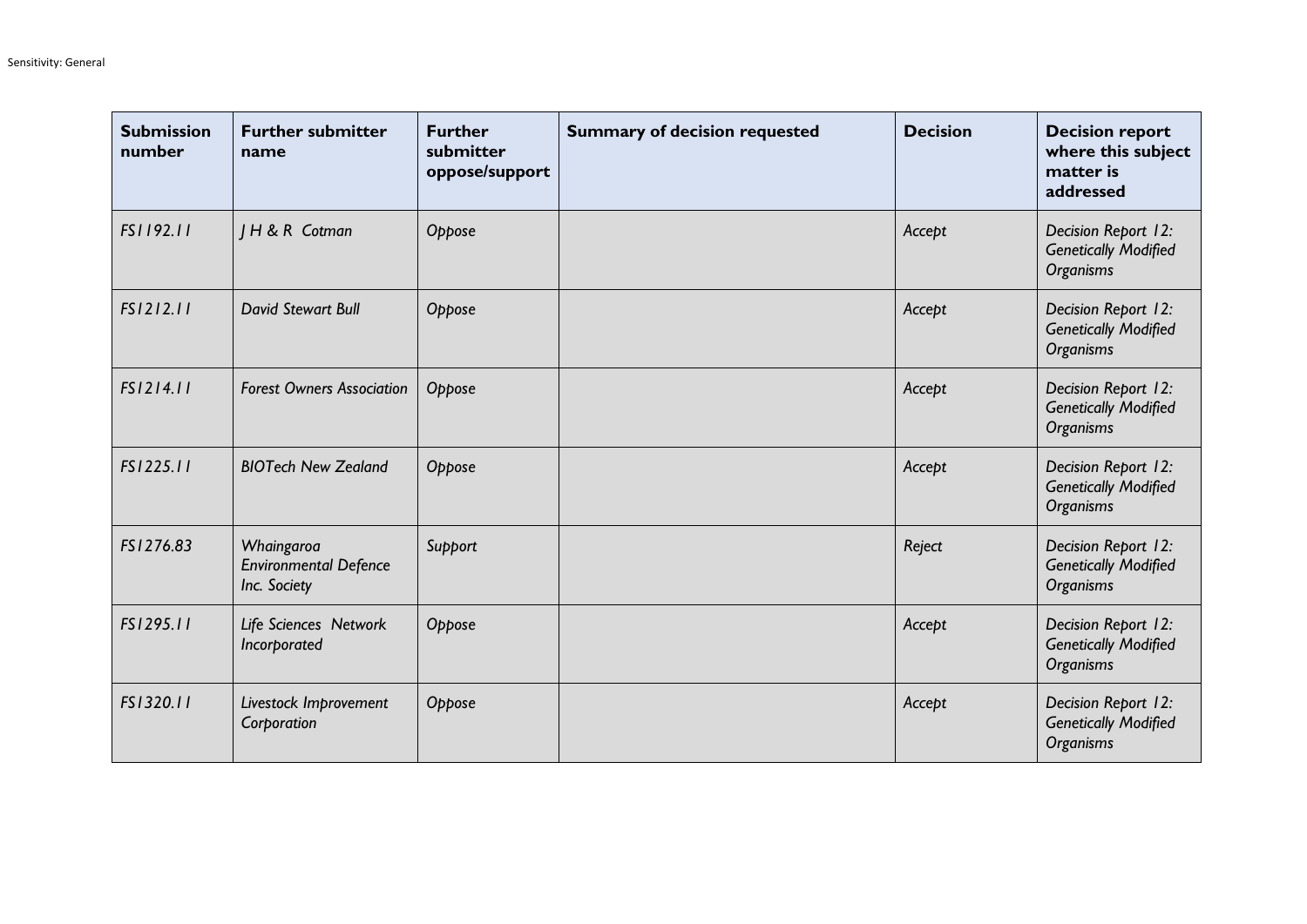| <b>Submission</b><br>number | <b>Further submitter</b><br>name                           | <b>Further</b><br>submitter<br>oppose/support | <b>Summary of decision requested</b> | <b>Decision</b> | <b>Decision report</b><br>where this subject<br>matter is<br>addressed |
|-----------------------------|------------------------------------------------------------|-----------------------------------------------|--------------------------------------|-----------------|------------------------------------------------------------------------|
| FS1192.11                   | <b>IH&amp;R</b> Cotman                                     | Oppose                                        |                                      | Accept          | Decision Report 12:<br><b>Genetically Modified</b><br><b>Organisms</b> |
| FS1212.11                   | David Stewart Bull                                         | Oppose                                        |                                      | Accept          | Decision Report 12:<br><b>Genetically Modified</b><br><b>Organisms</b> |
| FS1214.11                   | <b>Forest Owners Association</b>                           | Oppose                                        |                                      | Accept          | Decision Report 12:<br><b>Genetically Modified</b><br>Organisms        |
| FS1225.11                   | <b>BIOTech New Zealand</b>                                 | Oppose                                        |                                      | Accept          | Decision Report 12:<br><b>Genetically Modified</b><br>Organisms        |
| FS1276.83                   | Whaingaroa<br><b>Environmental Defence</b><br>Inc. Society | Support                                       |                                      | Reject          | Decision Report 12:<br><b>Genetically Modified</b><br>Organisms        |
| FS1295.11                   | Life Sciences Network<br>Incorporated                      | Oppose                                        |                                      | Accept          | Decision Report 12:<br><b>Genetically Modified</b><br>Organisms        |
| FS1320.11                   | Livestock Improvement<br>Corporation                       | Oppose                                        |                                      | Accept          | Decision Report 12:<br><b>Genetically Modified</b><br>Organisms        |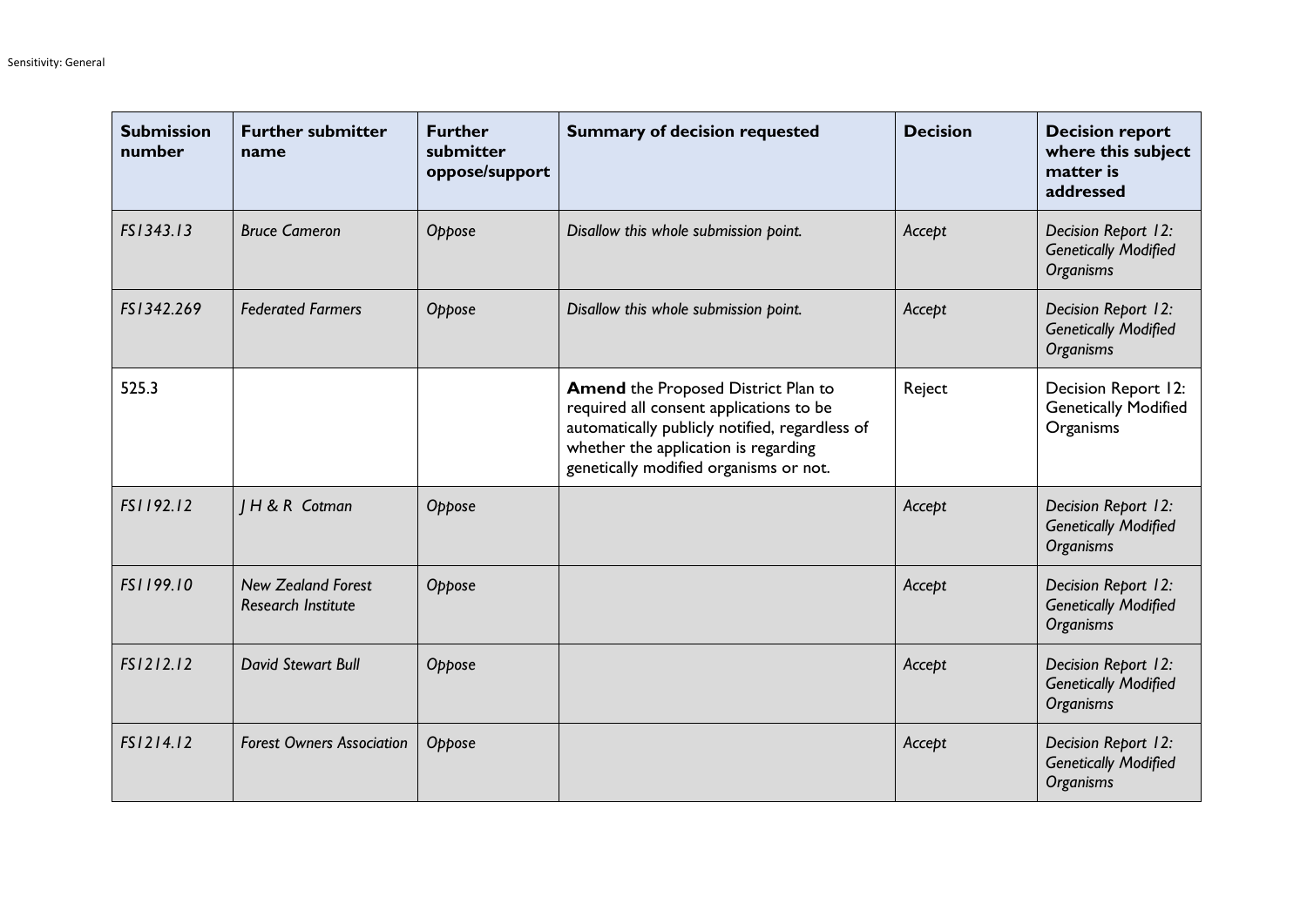| <b>Submission</b><br>number | <b>Further submitter</b><br>name                       | <b>Further</b><br>submitter<br>oppose/support | <b>Summary of decision requested</b>                                                                                                                                                                               | <b>Decision</b> | <b>Decision report</b><br>where this subject<br>matter is<br>addressed |
|-----------------------------|--------------------------------------------------------|-----------------------------------------------|--------------------------------------------------------------------------------------------------------------------------------------------------------------------------------------------------------------------|-----------------|------------------------------------------------------------------------|
| FS1343.13                   | <b>Bruce Cameron</b>                                   | Oppose                                        | Disallow this whole submission point.                                                                                                                                                                              | Accept          | Decision Report 12:<br><b>Genetically Modified</b><br><b>Organisms</b> |
| FS1342.269                  | <b>Federated Farmers</b>                               | Oppose                                        | Disallow this whole submission point.                                                                                                                                                                              | Accept          | Decision Report 12:<br><b>Genetically Modified</b><br>Organisms        |
| 525.3                       |                                                        |                                               | Amend the Proposed District Plan to<br>required all consent applications to be<br>automatically publicly notified, regardless of<br>whether the application is regarding<br>genetically modified organisms or not. | Reject          | Decision Report 12:<br><b>Genetically Modified</b><br>Organisms        |
| FS1192.12                   | <b>IH&amp;R</b> Cotman                                 | Oppose                                        |                                                                                                                                                                                                                    | Accept          | Decision Report 12:<br><b>Genetically Modified</b><br>Organisms        |
| FS1199.10                   | <b>New Zealand Forest</b><br><b>Research Institute</b> | Oppose                                        |                                                                                                                                                                                                                    | Accept          | Decision Report 12:<br><b>Genetically Modified</b><br>Organisms        |
| FS1212.12                   | <b>David Stewart Bull</b>                              | Oppose                                        |                                                                                                                                                                                                                    | Accept          | Decision Report 12:<br><b>Genetically Modified</b><br>Organisms        |
| FS1214.12                   | <b>Forest Owners Association</b>                       | Oppose                                        |                                                                                                                                                                                                                    | Accept          | Decision Report 12:<br><b>Genetically Modified</b><br>Organisms        |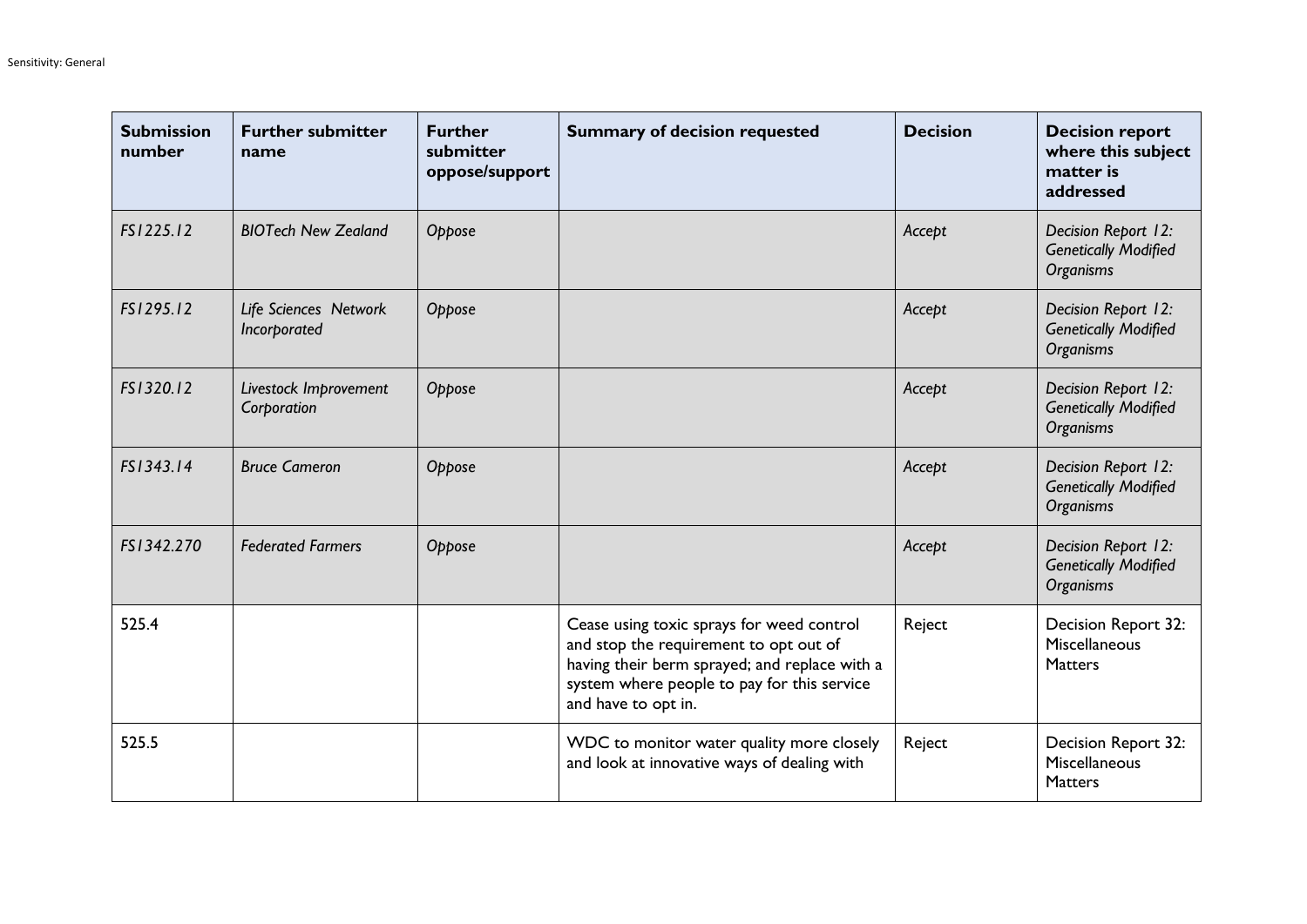| <b>Submission</b><br>number | <b>Further submitter</b><br>name      | <b>Further</b><br>submitter<br>oppose/support | <b>Summary of decision requested</b>                                                                                                                                                                       | <b>Decision</b> | <b>Decision report</b><br>where this subject<br>matter is<br>addressed |
|-----------------------------|---------------------------------------|-----------------------------------------------|------------------------------------------------------------------------------------------------------------------------------------------------------------------------------------------------------------|-----------------|------------------------------------------------------------------------|
| FS1225.12                   | <b>BIOTech New Zealand</b>            | Oppose                                        |                                                                                                                                                                                                            | Accept          | Decision Report 12:<br><b>Genetically Modified</b><br><b>Organisms</b> |
| FS1295.12                   | Life Sciences Network<br>Incorporated | Oppose                                        |                                                                                                                                                                                                            | Accept          | Decision Report 12:<br><b>Genetically Modified</b><br>Organisms        |
| FS1320.12                   | Livestock Improvement<br>Corporation  | Oppose                                        |                                                                                                                                                                                                            | Accept          | Decision Report 12:<br><b>Genetically Modified</b><br><b>Organisms</b> |
| FS1343.14                   | <b>Bruce Cameron</b>                  | Oppose                                        |                                                                                                                                                                                                            | Accept          | Decision Report 12:<br><b>Genetically Modified</b><br><b>Organisms</b> |
| FS1342.270                  | <b>Federated Farmers</b>              | Oppose                                        |                                                                                                                                                                                                            | Accept          | Decision Report 12:<br><b>Genetically Modified</b><br>Organisms        |
| 525.4                       |                                       |                                               | Cease using toxic sprays for weed control<br>and stop the requirement to opt out of<br>having their berm sprayed; and replace with a<br>system where people to pay for this service<br>and have to opt in. | Reject          | Decision Report 32:<br>Miscellaneous<br><b>Matters</b>                 |
| 525.5                       |                                       |                                               | WDC to monitor water quality more closely<br>and look at innovative ways of dealing with                                                                                                                   | Reject          | Decision Report 32:<br>Miscellaneous<br><b>Matters</b>                 |